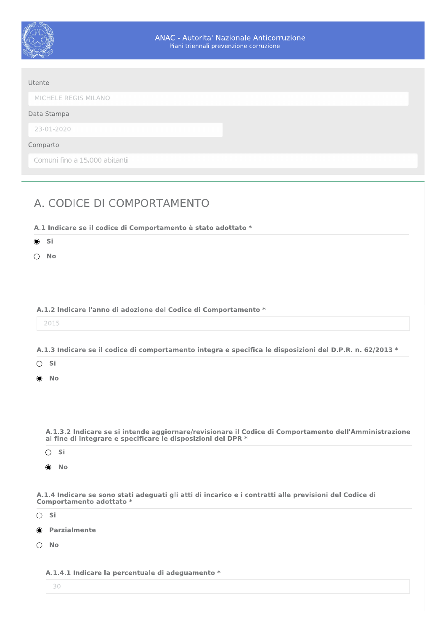

| MICHELE REGIS MILANO          |  |
|-------------------------------|--|
| Data Stampa                   |  |
| 23-01-2020                    |  |
| Comparto                      |  |
| Comuni fino a 15.000 abitanti |  |

# A. CODICE DI COMPORTAMENTO

A.1 Indicare se il codice di Comportamento è stato adottato \*

 $\odot$  Si

 $\bigcirc$  No

### A.1.2 Indicare l'anno di adozione del Codice di Comportamento \*

| . . |   |  |
|-----|---|--|
|     | ٠ |  |

## A.1.3 Indicare se il codice di comportamento integra e specifica le disposizioni del D.P.R. n. 62/2013 \*

| ×<br>۰. | ×<br>$\sim$ $-$ |
|---------|-----------------|
|         |                 |

No

A.1.3.2 Indicare se si intende aggiornare/revisionare il Codice di Comportamento dell'Amministrazione al fine di integrare e specificare le disposizioni del DPR \*

 $\bigcirc$  Si

 $\odot$  No

A.1.4 Indicare se sono stati adeguati gli atti di incarico e i contratti alle previsioni del Codice di Comportamento adottato \*

 $\bigcirc$  Si

- **O** Parzialmente
- $\bigcirc$  No

A.1.4.1 Indicare la percentuale di adeguamento \*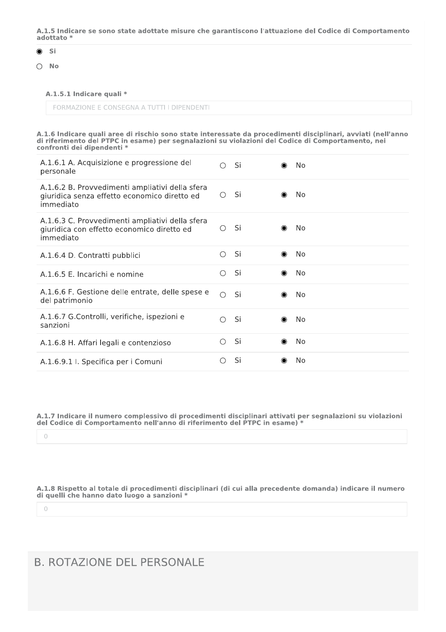A.1.5 Indicare se sono state adottate misure che garantiscono l'attuazione del Codice di Comportamento adottato \*

### ◉

 $\circ$  Si<br> $\circ$  No

### A.1.5.1 Indicare quali \*

| A.1.6.1 A. Acquisizione e progressione del<br>personale                                                      |            | $O$ Si | $\bullet$ | No        |
|--------------------------------------------------------------------------------------------------------------|------------|--------|-----------|-----------|
| A.1.6.2 B. Provvedimenti ampliativi della sfera<br>giuridica senza effetto economico diretto ed<br>immediato | $\bigcirc$ | -Si    | ◉         | <b>No</b> |
| A.1.6.3 C. Provvedimenti ampliativi della sfera<br>giuridica con effetto economico diretto ed<br>immediato   | $\bigcirc$ | - Si   | $\bullet$ | <b>No</b> |
| A.1.6.4 D. Contratti pubblici                                                                                | $\circ$    | Si     | $\bullet$ | No        |
| A.1.6.5 E. Incarichi e nomine                                                                                | $\circ$    | Si     | ◉         | No        |
| A.1.6.6 F. Gestione delle entrate, delle spese e<br>del patrimonio                                           | $\bigcirc$ | Si     | $\bullet$ | No        |
| A.1.6.7 G.Controlli, verifiche, ispezioni e<br>sanzioni                                                      | $\bigcirc$ | -Si    | $\bullet$ | <b>No</b> |
| A.1.6.8 H. Affari legali e contenzioso                                                                       | $\bigcirc$ | Si     | ◉         | <b>No</b> |
| A.1.6.9.1 I. Specifica per i Comuni                                                                          | $\bigcirc$ | Si     | $\bullet$ | <b>No</b> |

 $\circlearrowright$ 

A.1.8 Rispetto al totale di procedimenti disciplinari (di cui alla precedente domanda) indicare il numero di quelli che hanno dato luogo a sanzioni $\,^*$ 

 $\theta$ 

# B. ROTAZIONE DEL PERSONALE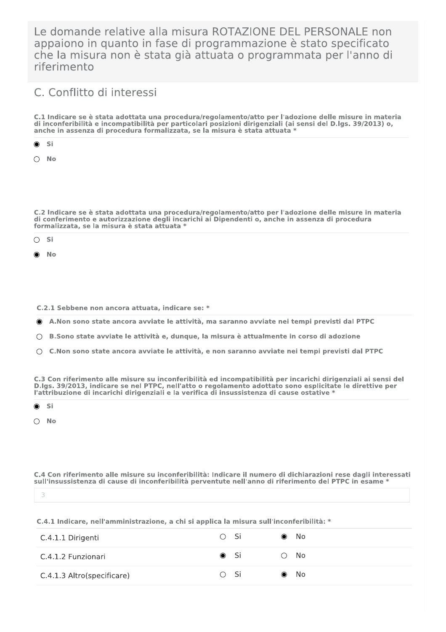Le domande relative alla misura ROTAZIONE DEL PERSONALE non appaiono in quanto in fase di programmazione è stato specificato che la misura non è stata già attuata o programmata per l'anno di riferimento

# C. Conflitto di interessi

C.1 Indicare se è stata adottata una procedura/regolamento/atto per l'adozione delle misure in materia di inconferibilità e incompatibilità per particolari posizioni dirigenziali (ai sensi del D.lgs. 39/2013) o, anche in assenza di procedura formalizzata, se la misura è stata attuata \*

Si ۰

 $\bigcap$  No

C.2 Indicare se è stata adottata una procedura/regolamento/atto per l'adozione delle misure in materia di conferimento e autorizzazione degli incarichi ai Dipendenti o, anche in assenza di procedura formalizzata, se la misura è stata attuata \*

 $\bigcirc$  Si

 $N<sub>0</sub>$ 

C.2.1 Sebbene non ancora attuata, indicare se: \*

● A.Non sono state ancora avviate le attività, ma saranno avviate nei tempi previsti dal PTPC

○ B.Sono state avviate le attività e, dunque, la misura è attualmente in corso di adozione

 $\bigcirc$  C. Non sono state ancora avviate le attività, e non saranno avviate nei tempi previsti dal PTPC

C.3 Con riferimento alle misure su inconferibilità ed incompatibilità per incarichi dirigenziali ai sensi del D.lgs. 39/2013, indicare se nel PTPC, nell'atto o regolamento adottato sono esplicitate le direttive per l'attribuzione di incarichi dirigenziali e la verifica di insussistenza di cause ostative \*

Si

 $\bigcirc$  No

C.4 Con riferimento alle misure su inconferibilità: Indicare il numero di dichiarazioni rese dagli interessati sull'insussistenza di cause di inconferibilità perventute nell'anno di riferimento del PTPC in esame \*

### C.4.1 Indicare, nell'amministrazione, a chi si applica la misura sull'inconferibilità: \*

| C.4.1.1 Dirigenti          | $\bigcirc$ Si | $\bullet$ | - No         |
|----------------------------|---------------|-----------|--------------|
| C.4.1.2 Funzionari         | ◉ Si          | ( )       | - No         |
| C.4.1.3 Altro(specificare) | $\bigcirc$ Si |           | $\bullet$ No |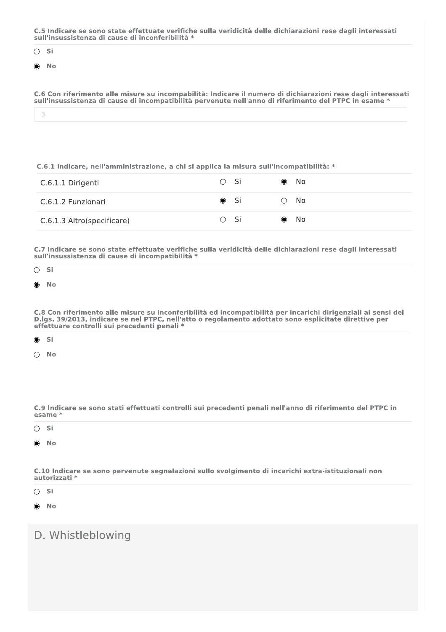C.5 Indicare se sono state effettuate verifiche sulla veridicità delle dichiarazioni rese dagli interessati sull'insussistenza di cause di inconferibilità \*



**No** ◉

C.6 Con riferimento alle misure su incompabilità: Indicare il numero di dichiarazioni rese dagli interessati sull'insussistenza di cause di incompatibilità pervenute nell'anno di riferimento del PTPC in esame \*

3

C.6.1 Indicare, nell'amministrazione, a chi si applica la misura sull'incompatibilità: \*

| C.6.1.1 Dirigenti          | ○ Si          | $\bullet$ No  |
|----------------------------|---------------|---------------|
| C.6.1.2 Funzionari         | (● Si         | $\bigcirc$ No |
| C.6.1.3 Altro(specificare) | $\bigcirc$ Si | $\bullet$ No  |

C.7 Indicare se sono state effettuate verifiche sulla veridicità delle dichiarazioni rese dagli interessati sull'insussistenza di cause di incompatibilità \*

 $\bigcirc$  Si

**No**  $\odot$ 

C.8 Con riferimento alle misure su inconferibilità ed incompatibilità per incarichi dirigenziali ai sensi del D.lgs. 39/2013, indicare se nel PTPC, nell'atto o regolamento adottato sono esplicitate direttive per effettuare controlli sui precedenti penali \*

| ٧ |  |
|---|--|

 $\bigcirc$ **No** 

C.9 Indicare se sono stati effettuati controlli sui precedenti penali nell'anno di riferimento del PTPC in esame \*

 $\bigcirc$  Si

◉ - No

C.10 Indicare se sono pervenute segnalazioni sullo svolgimento di incarichi extra-istituzionali non autorizzati \*

 $\bigcirc$  Si

**No** ⋒

# D. Whistleblowing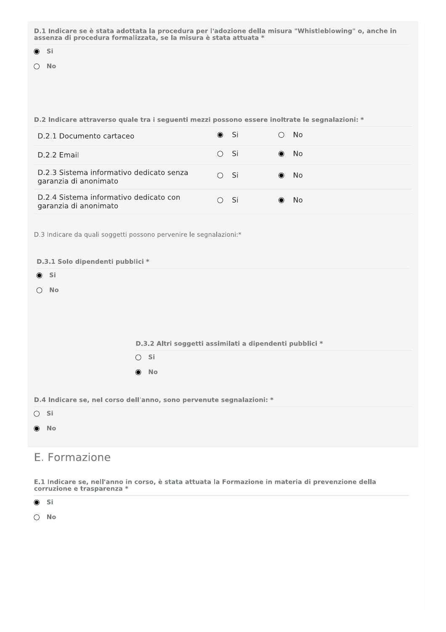D.1 Indicare se è stata adottata la procedura per l'adozione della misura "Whistleblowing" o, anche in assenza di procedura formalizzata, se la misura è stata attuata \*

- $\bullet$  Si
- $\bigcirc$  No

## D.2 Indicare attraverso quale tra i seguenti mezzi possono essere inoltrate le segnalazioni: \*

| D.2.1 Documento cartaceo                                          | $\bullet$ Si                                  |      | No.          |
|-------------------------------------------------------------------|-----------------------------------------------|------|--------------|
| D.2.2 Email                                                       | O Si                                          |      | $\bullet$ No |
| D.2.3 Sistema informativo dedicato senza<br>garanzia di anonimato | $\bigcirc$                                    | - Si | $\bullet$ No |
| D.2.4 Sistema informativo dedicato con<br>garanzia di anonimato   | $\left( \begin{array}{c} \end{array} \right)$ | - Si | - No         |

D.3 Indicare da quali soggetti possono pervenire le segnalazioni:\*

|                  | D.3.1 Solo dipendenti pubblici *                                     |
|------------------|----------------------------------------------------------------------|
| $\odot$ Si       |                                                                      |
| No<br>$\bigcirc$ |                                                                      |
|                  |                                                                      |
|                  |                                                                      |
|                  |                                                                      |
|                  | D.3.2 Altri soggetti assimilati a dipendenti pubblici *              |
|                  | $\bigcirc$ Si                                                        |
|                  | $\bullet$ No                                                         |
|                  |                                                                      |
|                  | D.4 Indicare se, nel corso dell'anno, sono pervenute segnalazioni: * |
| $\bigcirc$ Si    |                                                                      |
| $\odot$ No       |                                                                      |
|                  |                                                                      |
| E. Formazione    |                                                                      |

#### E.1 Indicare se, nell'anno in corso, è stata attuata la Formazione in materia di prevenzione della corruzione e trasparenza \*



 $\bigcirc$  No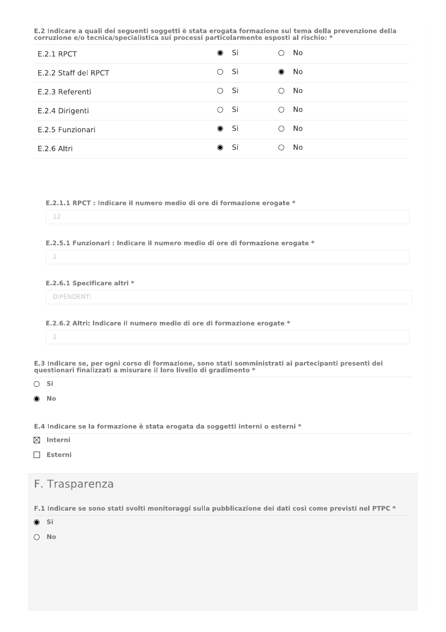E.2 Indicare a quali dei seguenti soggetti è stata erogata formazione sul tema della prevenzione della corruzione e/o tecnica/specialistica sui processi particolarmente esposti al rischio: \*

| <b>E.2.1 RPCT</b>    | $\bullet$ Si       | No.<br>◯          |
|----------------------|--------------------|-------------------|
| E.2.2 Staff del RPCT | - Si<br>$\bigcirc$ | No<br>$\bullet$   |
| E.2.3 Referenti      | - Si<br>$\bigcirc$ | No<br>∩           |
| E.2.4 Dirigenti      | - Si<br>$\bigcirc$ | No<br>∩           |
| E.2.5 Funzionari     | $\bullet$ Si       | No.<br>$\bigcirc$ |
| E.2.6 Altri          | - Si<br>$\bullet$  | No                |

E.2.1.1 RPCT : Indicare il numero medio di ore di formazione erogate \*

### 12

E.2.5.1 Funzionari : Indicare il numero medio di ore di formazione erogate \*

 $\overline{2}$ 

E.2.6.1 Specificare altri \*

**DIPENDENTI** 

E.2.6.2 Altri: Indicare il numero medio di ore di formazione erogate \*

 $\overline{2}$ 

E.3 Indicare se, per ogni corso di formazione, sono stati somministrati ai partecipanti presenti dei questionari finalizzati a misurare il loro livello di gradimento \*

 $\bigcirc$  Si

**No**  $\bullet$ 

E.4 Indicare se la formazione è stata erogata da soggetti interni o esterni \*

 $\boxtimes$  Interni

 $\Box$  Esterni

F. Trasparenza

F.1 Indicare se sono stati svolti monitoraggi sulla pubblicazione dei dati così come previsti nel PTPC \*

 $\odot$  Si

 $\bigcirc$  No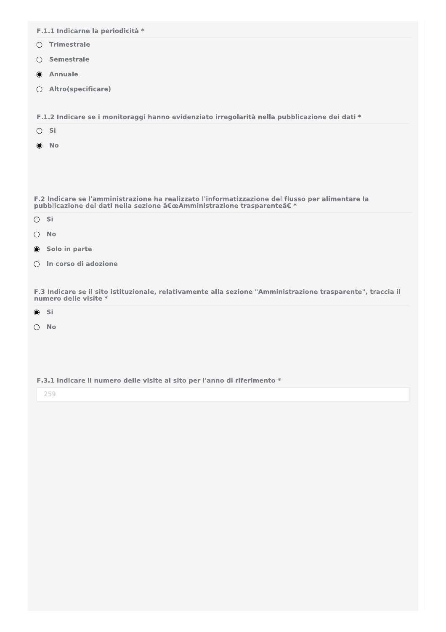- $\bigcirc$  Trimestrale
- Semestrale
- Annuale
- O Altro(specificare)

F.1.2 Indicare se i monitoraggi hanno evidenziato irregolarità nella pubblicazione dei dati \*

- $\bigcirc$  Si
- $\odot$  No

F.2 Indicare se l'amministrazione ha realizzato l'informatizzazione del flusso per alimentare la pubblicazione dei dati nella sezione "Amministrazione trasparente†\*

- $\bigcirc$  Si
- $\bigcirc$  No
- Solo in parte
- In corso di adozione

F.3 Indicare se il sito istituzionale, relativamente alla sezione "Amministrazione trasparente", traccia il numero delle visite \*

 $\odot$  Si

 $\bigcirc$  No

F.3.1 Indicare il numero delle visite al sito per l'anno di riferimento \*

259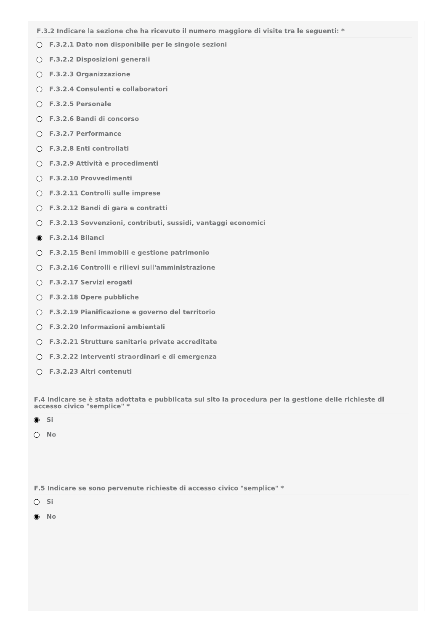- F.3.2 Indicare la sezione che ha ricevuto il numero maggiore di visite tra le seguenti: \*
- F.3.2.1 Dato non disponibile per le singole sezioni
- F.3.2.2 Disposizioni generali
- $O$  F.3.2.3 Organizzazione
- F.3.2.4 Consulenti e collaboratori
- $\bigcirc$  F.3.2.5 Personale
- F.3.2.6 Bandi di concorso
- F.3.2.7 Performance
- F.3.2.8 Enti controllati
- F.3.2.9 Attività e procedimenti
- F.3.2.10 Provvedimenti
- F.3.2.11 Controlli sulle imprese
- F.3.2.12 Bandi di gara e contratti
- F.3.2.13 Sovvenzioni, contributi, sussidi, vantaggi economici
- **6** F.3.2.14 Bilanci
- F.3.2.15 Beni immobili e gestione patrimonio
- F.3.2.16 Controlli e rilievi sull'amministrazione
- F.3.2.17 Servizi erogati
- F.3.2.18 Opere pubbliche
- F.3.2.19 Pianificazione e governo del territorio
- $\bigcirc$  F.3.2.20 Informazioni ambientali
- F.3.2.21 Strutture sanitarie private accreditate
- F.3.2.22 Interventi straordinari e di emergenza
- F.3.2.23 Altri contenuti

F.4 Indicare se è stata adottata e pubblicata sul sito la procedura per la gestione delle richieste di accesso civico "semplice" >

### $\odot$  Si

 $\bigcirc$  No

F.5 Indicare se sono pervenute richieste di accesso civico "semplice" \*

 $\bigcirc$  Si

 $\odot$  No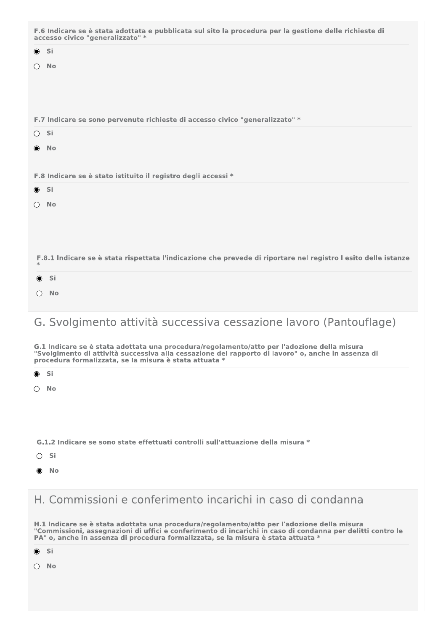|                  | F.6 Indicare se è stata adottata e pubblicata sul sito la procedura per la gestione delle richieste di<br>accesso civico "generalizzato" *                                                                                                                |
|------------------|-----------------------------------------------------------------------------------------------------------------------------------------------------------------------------------------------------------------------------------------------------------|
| $\bullet$ Si     |                                                                                                                                                                                                                                                           |
| $\bigcirc$       | No                                                                                                                                                                                                                                                        |
|                  | F.7 Indicare se sono pervenute richieste di accesso civico "generalizzato" *                                                                                                                                                                              |
| $\bigcirc$ Si    |                                                                                                                                                                                                                                                           |
| $\bullet$        | <b>No</b>                                                                                                                                                                                                                                                 |
|                  | F.8 Indicare se è stato istituito il registro degli accessi *                                                                                                                                                                                             |
| $\odot$ Si       |                                                                                                                                                                                                                                                           |
| $\bigcirc$       | - No                                                                                                                                                                                                                                                      |
|                  | F.8.1 Indicare se è stata rispettata l'indicazione che prevede di riportare nel registro l'esito delle istanze                                                                                                                                            |
| $\circledbullet$ | - Si                                                                                                                                                                                                                                                      |
|                  | $\bigcirc$ No                                                                                                                                                                                                                                             |
|                  | G. Svolgimento attività successiva cessazione lavoro (Pantouflage)                                                                                                                                                                                        |
|                  | G.1 Indicare se è stata adottata una procedura/regolamento/atto per l'adozione della misura<br>"Svolgimento di attività successiva alla cessazione del rapporto di lavoro" o, anche in assenza di<br>procedura formalizzata, se la misura è stata attuata |
| $\bullet$        | Si                                                                                                                                                                                                                                                        |
| ○                | No                                                                                                                                                                                                                                                        |
|                  |                                                                                                                                                                                                                                                           |
|                  | G.1.2 Indicare se sono state effettuati controlli sull'attuazione della misura *                                                                                                                                                                          |
| $\bigcirc$       | Si                                                                                                                                                                                                                                                        |
|                  | - No                                                                                                                                                                                                                                                      |
|                  | H. Commissioni e conferimento incarichi in caso di condanna                                                                                                                                                                                               |
|                  | H.1 Indicare se è stata adottata una procedura/regolamento/atto per l'adozione della misura                                                                                                                                                               |

"Commissioni, assegnazioni di uffici e conferimento di incarichi in caso di condanna per delitti contro le<br>PA" o, anche in assenza di procedura formalizzata, se la misura è stata attuata \*

| í |  |
|---|--|
|   |  |

 $\bigcirc$  No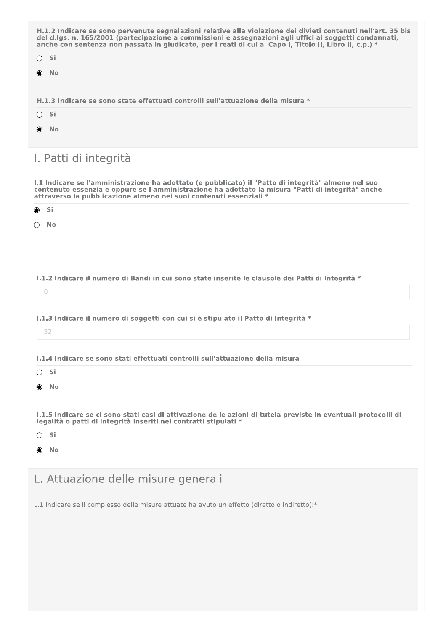| H.1.2 Indicare se sono pervenute segnalazioni relative alla violazione dei divieti contenuti nell'art. 35 bis<br>del d.lgs. n. 165/2001 (partecipazione a commissioni e assegnazioni agli uffici ai soggetti condannati,<br>anche con sentenza non passata in giudicato, per i reati di cui al Capo I, Titolo II, Libro II, c.p.) * |  |
|-------------------------------------------------------------------------------------------------------------------------------------------------------------------------------------------------------------------------------------------------------------------------------------------------------------------------------------|--|
| $\bigcirc$ Si                                                                                                                                                                                                                                                                                                                       |  |
| $\bullet$ No                                                                                                                                                                                                                                                                                                                        |  |
|                                                                                                                                                                                                                                                                                                                                     |  |
| H.1.3 Indicare se sono state effettuati controlli sull'attuazione della misura *                                                                                                                                                                                                                                                    |  |
| $\bigcirc$ Si                                                                                                                                                                                                                                                                                                                       |  |
| $\bullet$ No                                                                                                                                                                                                                                                                                                                        |  |

# I. Patti di integrità

I.1 Indicare se l'amministrazione ha adottato (e pubblicato) il "Patto di integrità" almeno nel suo contenuto essenziale oppure se l'amministrazione ha adottato la misura "Patti di integrità" anche attraverso la pubblicazione almeno nei suoi contenuti essenziali \*

Si  $\bullet$ 

 $\bigcirc$  No

## I.1.2 Indicare il numero di Bandi in cui sono state inserite le clausole dei Patti di Integrità \*

 $\circ$ 

I.1.3 Indicare il numero di soggetti con cui si è stipulato il Patto di Integrità \*

32

1.1.4 Indicare se sono stati effettuati controlli sull'attuazione della misura

 $\bigcirc$  Si

 $\odot$  No

I.1.5 Indicare se ci sono stati casi di attivazione delle azioni di tutela previste in eventuali protocolli di legalità o patti di integrità inseriti nei contratti stipulati \*

 $\bigcirc$  Si

 $\odot$  No

# L. Attuazione delle misure generali

L.1 Indicare se il complesso delle misure attuate ha avuto un effetto (diretto o indiretto):\*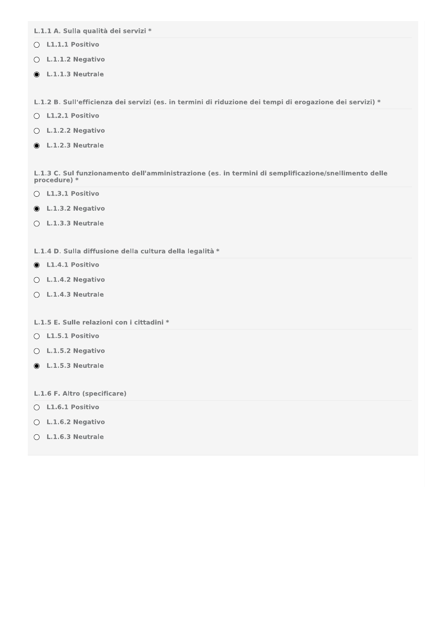L.1.1 A. Sulla qualità dei servizi \*

- $O$  L1.1.1 Positivo
- $O$  L.1.1.2 Negativo
- $\bullet$  L.1.1.3 Neutrale

L.1.2 B. Sull'efficienza dei servizi (es. in termini di riduzione dei tempi di erogazione dei servizi) \*

- O L1.2.1 Positivo
- $O$  L.1.2.2 Negativo
- $\bullet$  L.1.2.3 Neutrale

L.1.3 C. Sul funzionamento dell'amministrazione (es. in termini di semplificazione/snellimento delle procedure) \*

- O L1.3.1 Positivo
- $\bullet$  L.1.3.2 Negativo
- $O$  L.1.3.3 Neutrale

## L.1.4 D. Sulla diffusione della cultura della legalità \*

- $\bullet$  L1.4.1 Positivo
- $O$  L.1.4.2 Negativo
- $O$  L.1.4.3 Neutrale

## L.1.5 E. Sulle relazioni con i cittadini \*

- $O$  L1.5.1 Positivo
- $O$  L.1.5.2 Negativo
- $\bullet$  L.1.5.3 Neutrale
- L.1.6 F. Altro (specificare)
- $O$  L1.6.1 Positivo
- $O$  L.1.6.2 Negativo
- $O$  L.1.6.3 Neutrale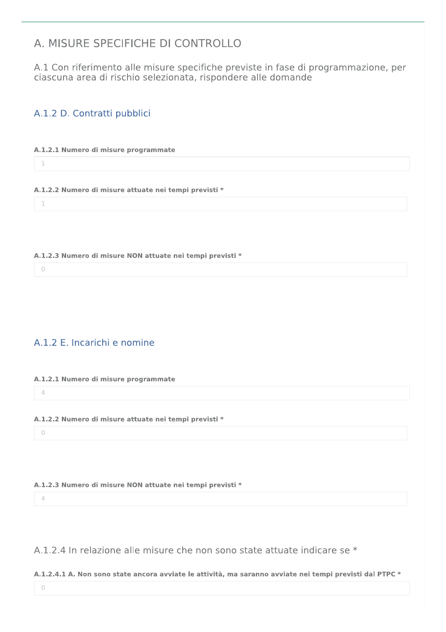# A. MISURE SPECIFICHE DI CONTROLLO

A.1 Con riferimento alle misure specifiche previste in fase di programmazione, per ciascuna area di rischio selezionata, rispondere alle domande

## A.1.2 D. Contratti pubblici

## A.1.2.1 Numero di misure programmate

- A.1.2.2 Numero di misure attuate nei tempi previsti \*
- A.1.2.3 Numero di misure NON attuate nei tempi previsti \*
	- $\circ$

 $\mathbbm{1}$ 

 $\bar{1}$ 

## A.1.2 E. Incarichi e nomine

## A.1.2.1 Numero di misure programmate

 $\overline{4}$ 

## A.1.2.2 Numero di misure attuate nei tempi previsti \*

|--|

## A.1.2.3 Numero di misure NON attuate nei tempi previsti \*

 $\overline{4}$ 

## A.1.2.4 In relazione alle misure che non sono state attuate indicare se \*

## A.1.2.4.1 A. Non sono state ancora avviate le attività, ma saranno avviate nei tempi previsti dal PTPC \*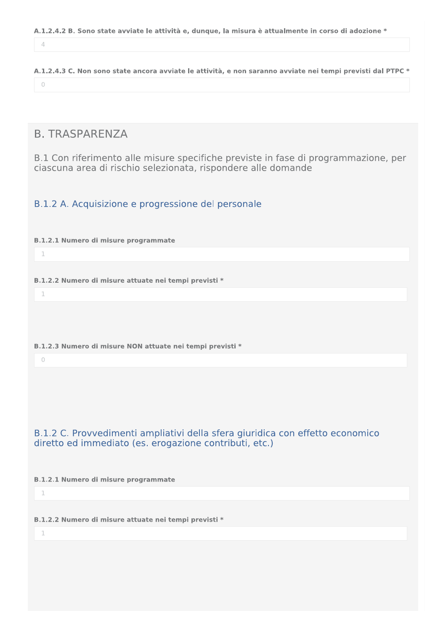$\overline{4}$ 

A.1.2.4.3 C. Non sono state ancora avviate le attività, e non saranno avviate nei tempi previsti dal PTPC \*  $\circlearrowright$ 

## **B. TRASPARENZA**

B.1 Con riferimento alle misure specifiche previste in fase di programmazione, per ciascuna area di rischio selezionata, rispondere alle domande

## B.1.2 A. Acquisizione e progressione del personale

## **B.1.2.1 Numero di misure programmate**

 $\top$ 

 $\overline{\phantom{a}}$ 

B.1.2.2 Numero di misure attuate nei tempi previsti \*

B.1.2.3 Numero di misure NON attuate nei tempi previsti \*

 $\bigcap$ 

## B.1.2 C. Provvedimenti ampliativi della sfera giuridica con effetto economico diretto ed immediato (es. erogazione contributi, etc.)

**B.1.2.1 Numero di misure programmate** 

 $\mathbf 1$ 

B.1.2.2 Numero di misure attuate nei tempi previsti \*

 $\overline{\phantom{a}}$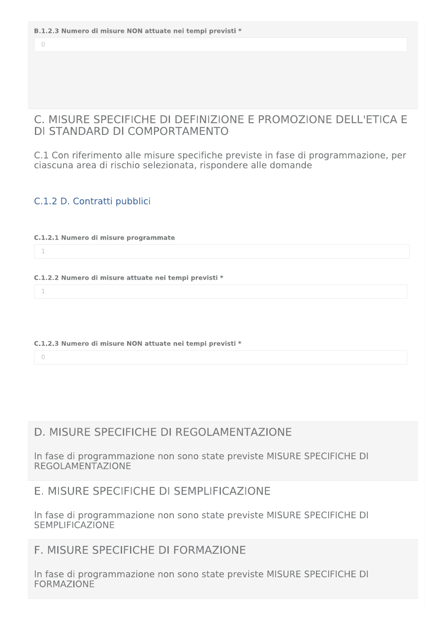$\bigcap$ 

## C. MISURE SPECIFICHE DI DEFINIZIONE E PROMOZIONE DELL'ETICA E DI STANDARD DI COMPORTAMENTO

C.1 Con riferimento alle misure specifiche previste in fase di programmazione, per ciascuna area di rischio selezionata, rispondere alle domande

## C.1.2 D. Contratti pubblici

C.1.2.1 Numero di misure programmate

 $\overline{\phantom{a}}$ 

 $\mathbf{1}$ 

C.1.2.2 Numero di misure attuate nei tempi previsti \*

## C.1.2.3 Numero di misure NON attuate nei tempi previsti \*

 $\overline{O}$ 

# D. MISURE SPECIFICHE DI REGOI AMENTAZIONE

In fase di programmazione non sono state previste MISURE SPECIFICHE DI **REGOLAMENTAZIONE** 

## F. MISURE SPECIFICHE DI SEMPLIFICAZIONE

In fase di programmazione non sono state previste MISURE SPECIFICHE DI **SEMPLIFICAZIONE** 

## F. MISURE SPECIFICHE DI FORMAZIONE

In fase di programmazione non sono state previste MISURE SPECIFICHE DI **FORMAZIONE**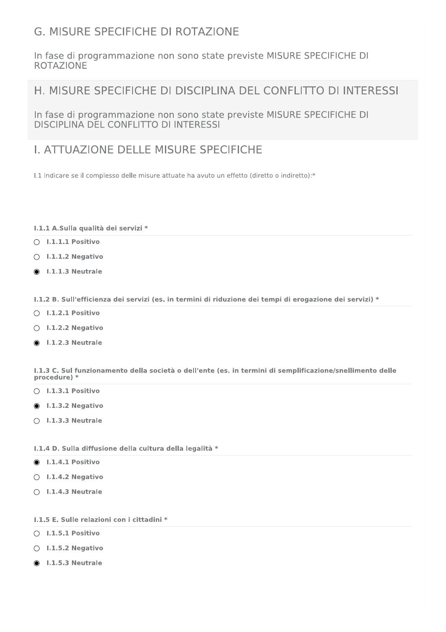# G. MISURE SPECIFICHE DI ROTAZIONE

In fase di programmazione non sono state previste MISURE SPECIFICHE DI **ROTAZIONE** 

# H. MISURE SPECIFICHE DI DISCIPLINA DEL CONFLITTO DI INTERESSI

In fase di programmazione non sono state previste MISURE SPECIFICHE DI DISCIPLINA DEL CONFLITTO DI INTERESSI MELITTO DI INTERESSI<br>MELITTO DI INTERESSI<br>DELLE MISURE SPECIFICI<br>Melle misure attuate ha avuto un effetto

# I. ATTUAZIONE DELLE MISURE SPECIFICHE

 $1.1$  Indicare se il complesso delle misure attuate ha avuto un effetto (diretto o indiretto):\*

## 1.1.1 A.Sulla qualità dei servizi \*

- $\bigcirc$  I.1.1.1 Positivo
- $\bigcirc$  I.1.1.2 Negativo
- $\bullet$  1.1.1.3 Neutrale

I.1.2 B. Sull'efficienza dei servizi (es. in termini di riduzione dei tempi di erogazione dei servizi) \*

- $\bigcirc$  1.1.2.1 Positivo
- $\bigcirc$  I.1.2.2 Negativo
- $\odot$  1.1.2.3 Neutrale

I.1.3 C. Sul funzionamento della società o dell'ente (es. in termini di semplificazione/snellimento delle procedure)<sup>\*</sup>

- $\bigcirc$  I.1.3.1 Positivo
- $\odot$  I.1.3.2 Negativo
- $\bigcirc$  1.1.3.3 Neutrale

## 1.1.4 D. Sulla diffusione della cultura della legalità \*

- $\odot$  I.1.4.1 Positivo
- $\bigcirc$  I.1.4.2 Negativo
- $\bigcirc$  1.1.4.3 Neutrale

## I.1.5 E. Sulle relazioni con i cittadini \*

- $\bigcirc$  1.1.5.1 Positivo
- $\bigcirc$  1.1.5.2 Negativo
- $\odot$  1.1.5.3 Neutrale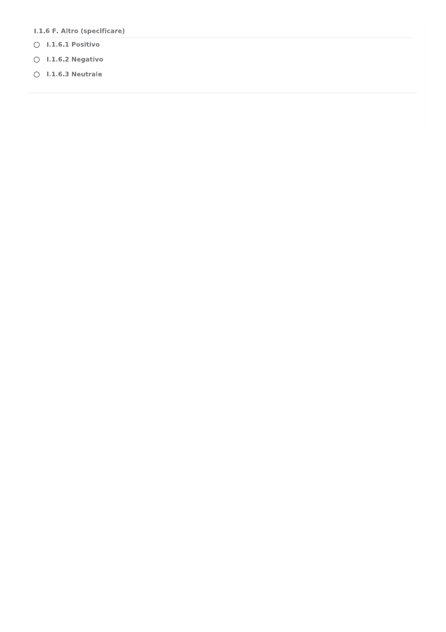- I.1.6 F. Altro (specificare)
- $\bigcirc$  1.1.6.1 Positivo
- $\bigcirc$  1.1.6.2 Negativo
- $\bigcirc$  1.1.6.3 Neutrale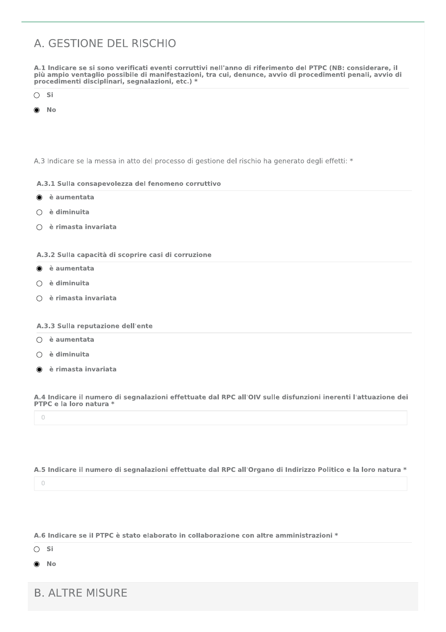# A. GESTIONE DEL RISCHIO

A.1 Indicare se si sono verificati eventi corruttivi nell'anno di riferimento del PTPC (NB; considerare, il più ampio ventaglio possibile di manifestazioni, tra cui, denunce, avvio di procedimenti penali, avvio di procedimenti disciplinari, segnalazioni, etc.) \*

- $\bigcirc$  Si
- **No**

A.3 Indicare se la messa in atto del processo di gestione del rischio ha generato degli effetti: \*

## A.3.1 Sulla consapevolezza del fenomeno corruttivo

- è aumentata  $\bullet$
- $\bigcirc$  è diminuita
- è rimasta invariata

## A.3.2 Sulla capacità di scoprire casi di corruzione

- le à aumentata
- $\bigcirc$  è diminuita
- è rimasta invariata

## A.3.3 Sulla reputazione dell'ente

- $\bigcirc$  è aumentata
- $\bigcirc$  è diminuita
- è rimasta invariata

A.4 Indicare il numero di segnalazioni effettuate dal RPC all'OIV sulle disfunzioni inerenti l'attuazione dei PTPC e la loro natura \*

 $\circ$ 

## A.5 Indicare il numero di segnalazioni effettuate dal RPC all'Organo di Indirizzo Politico e la loro natura \*

 $\bigcirc$ 

## A.6 Indicare se il PTPC è stato elaborato in collaborazione con altre amministrazioni \*

 $\bigcirc$  Si

 $\bullet$  No

**B. ALTRE MISURE**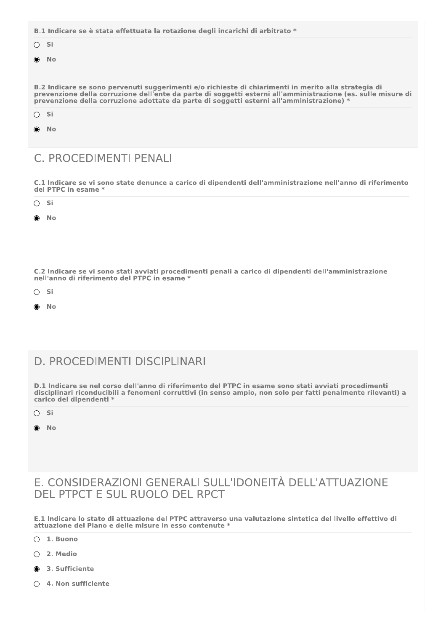|                                                                                                                                                                                                                                                                                                                   | B.1 Indicare se è stata effettuata la rotazione degli incarichi di arbitrato * |  |  |  |  |  |  |
|-------------------------------------------------------------------------------------------------------------------------------------------------------------------------------------------------------------------------------------------------------------------------------------------------------------------|--------------------------------------------------------------------------------|--|--|--|--|--|--|
| $\bigcirc$ Si                                                                                                                                                                                                                                                                                                     |                                                                                |  |  |  |  |  |  |
|                                                                                                                                                                                                                                                                                                                   | $\bullet$ No                                                                   |  |  |  |  |  |  |
|                                                                                                                                                                                                                                                                                                                   |                                                                                |  |  |  |  |  |  |
| B.2 Indicare se sono pervenuti suggerimenti e/o richieste di chiarimenti in merito alla strategia di<br>prevenzione della corruzione dell'ente da parte di soggetti esterni all'amministrazione (es. sulle misure di<br>prevenzione della corruzione adottate da parte di soggetti esterni all'amministrazione) * |                                                                                |  |  |  |  |  |  |
| $\bigcirc$ Si                                                                                                                                                                                                                                                                                                     |                                                                                |  |  |  |  |  |  |
|                                                                                                                                                                                                                                                                                                                   | $\bullet$ No                                                                   |  |  |  |  |  |  |
|                                                                                                                                                                                                                                                                                                                   |                                                                                |  |  |  |  |  |  |

# C. PROCEDIMENTI PENALI

C.1 Indicare se vi sono state denunce a carico di dipendenti dell'amministrazione nell'anno di riferimento del PTPC in esame \*

| $\bigcirc$ Si |  |  |  |  |  |
|---------------|--|--|--|--|--|
| $\bullet$ No  |  |  |  |  |  |

C.2 Indicare se vi sono stati avviati procedimenti penali a carico di dipendenti dell'amministrazione nell'anno di riferimento del PTPC in esame \*

- $\bigcirc$  Si
- **No** ∩

# D. PROCEDIMENTI DISCIPLINARI

D.1 Indicare se nel corso dell'anno di riferimento del PTPC in esame sono stati avviati procedimenti disciplinari riconducibili a fenomeni corruttivi (in senso ampio, non solo per fatti penalmente rilevanti) a carico dei dipendenti \*

- $\bigcirc$  Si
- **No**  $\bullet$

## E. CONSIDERAZIONI GENERALI SULL'IDONEITÀ DELL'ATTUAZIONE DEL PTPCT E SUL RUOLO DEL RPCT

E.1 Indicare lo stato di attuazione del PTPC attraverso una valutazione sintetica del livello effettivo di attuazione del Piano e delle misure in esso contenute \*

- $\bigcirc$  1. Buono
- $O$  2. Medio
- 3. Sufficiente
- $\bigcirc$  4. Non sufficiente